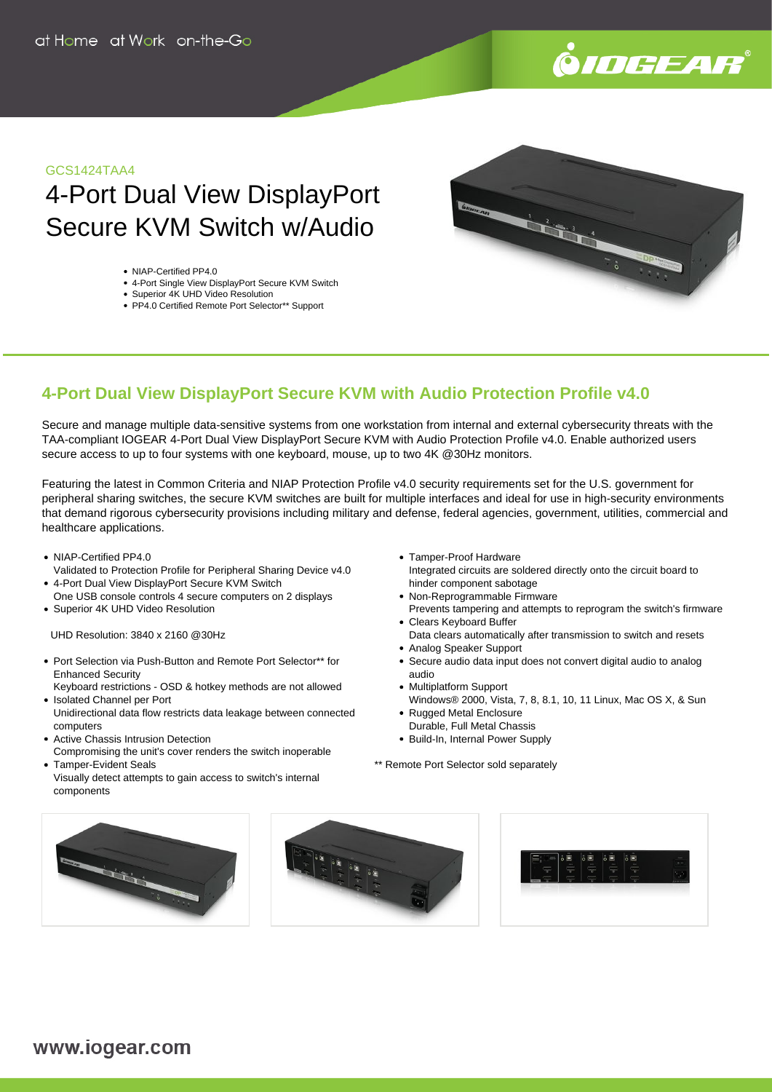

#### GCS1424TAA4

# 4-Port Dual View DisplayPort Secure KVM Switch w/Audio

- NIAP-Certified PP4.0
- 4-Port Single View DisplayPort Secure KVM Switch
- Superior 4K UHD Video Resolution
- PP4.0 Certified Remote Port Selector\*\* Support



## **4-Port Dual View DisplayPort Secure KVM with Audio Protection Profile v4.0**

Secure and manage multiple data-sensitive systems from one workstation from internal and external cybersecurity threats with the TAA-compliant IOGEAR 4-Port Dual View DisplayPort Secure KVM with Audio Protection Profile v4.0. Enable authorized users secure access to up to four systems with one keyboard, mouse, up to two 4K @30Hz monitors.

Featuring the latest in Common Criteria and NIAP Protection Profile v4.0 security requirements set for the U.S. government for peripheral sharing switches, the secure KVM switches are built for multiple interfaces and ideal for use in high-security environments that demand rigorous cybersecurity provisions including military and defense, federal agencies, government, utilities, commercial and healthcare applications.

- NIAP-Certified PP4.0
- Validated to Protection Profile for Peripheral Sharing Device v4.0 4-Port Dual View DisplayPort Secure KVM Switch
- One USB console controls 4 secure computers on 2 displays • Superior 4K UHD Video Resolution
- UHD Resolution: 3840 x 2160 @30Hz
- Port Selection via Push-Button and Remote Port Selector\*\* for Enhanced Security
- Keyboard restrictions OSD & hotkey methods are not allowed • Isolated Channel per Port
- Unidirectional data flow restricts data leakage between connected computers
- Active Chassis Intrusion Detection
- Compromising the unit's cover renders the switch inoperable Tamper-Evident Seals
- Visually detect attempts to gain access to switch's internal components
- Tamper-Proof Hardware Integrated circuits are soldered directly onto the circuit board to hinder component sabotage
- Non-Reprogrammable Firmware Prevents tampering and attempts to reprogram the switch's firmware
- Clears Keyboard Buffer Data clears automatically after transmission to switch and resets
- Analog Speaker Support
- Secure audio data input does not convert digital audio to analog audio
- Multiplatform Support
- Windows® 2000, Vista, 7, 8, 8.1, 10, 11 Linux, Mac OS X, & Sun Rugged Metal Enclosure
- Durable, Full Metal Chassis
- Build-In, Internal Power Supply

\*\* Remote Port Selector sold separately





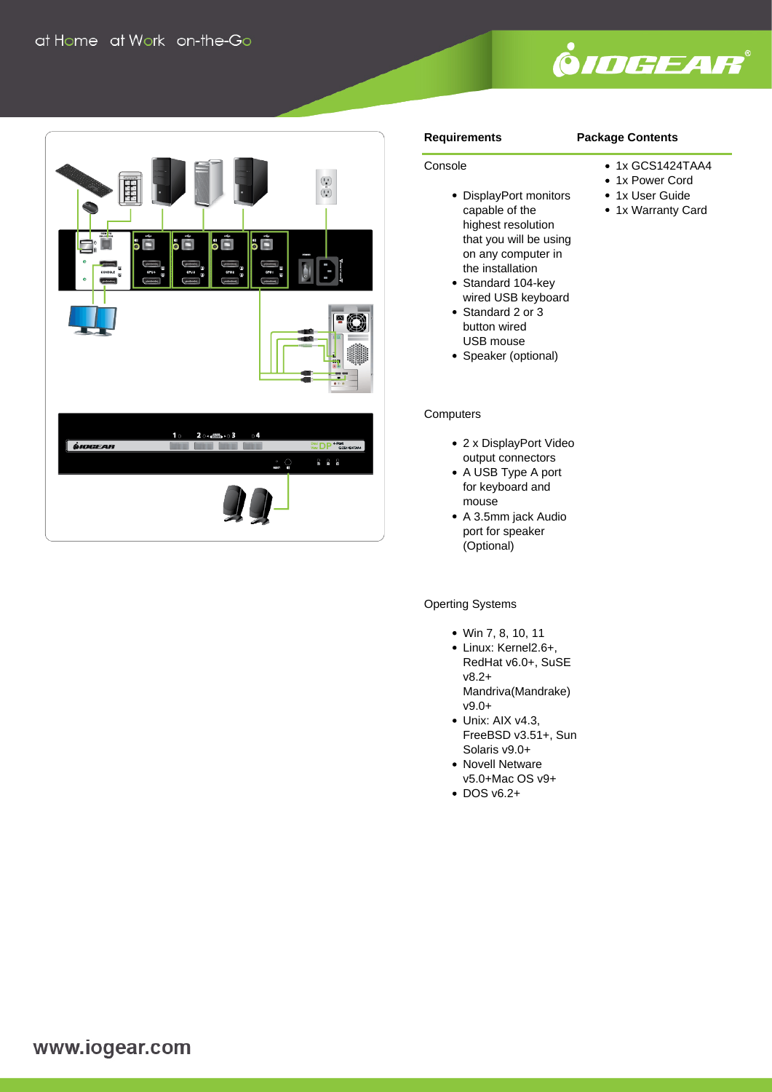



#### **Requirements**

Console

#### **Package Contents**

- 1x GCS1424TAA4
- 1x Power Cord
- 1x User Guide
- 1x Warranty Card
- DisplayPort monitors capable of the highest resolution that you will be using on any computer in the installation
- Standard 104-key wired USB keyboard
- Standard 2 or 3 button wired USB mouse
- Speaker (optional)

#### **Computers**

- 2 x DisplayPort Video output connectors
- A USB Type A port for keyboard and mouse
- A 3.5mm jack Audio port for speaker (Optional)

### Operting Systems

- Win 7, 8, 10, 11
- Linux: Kernel2.6+, RedHat v6.0+, SuSE v8.2+ Mandriva(Mandrake) v9.0+
- Unix: AIX v4.3. FreeBSD v3.51+, Sun Solaris v9.0+
- Novell Netware v5.0+Mac OS v9+
- $\cdot$  DOS v6.2+